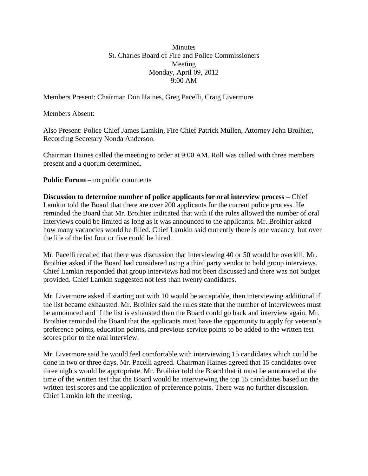## **Minutes** St. Charles Board of Fire and Police Commissioners Meeting Monday, April 09, 2012 9:00 AM

Members Present: Chairman Don Haines, Greg Pacelli, Craig Livermore

Members Absent:

Also Present: Police Chief James Lamkin, Fire Chief Patrick Mullen, Attorney John Broihier, Recording Secretary Nonda Anderson.

Chairman Haines called the meeting to order at 9:00 AM. Roll was called with three members present and a quorum determined.

## **Public Forum** – no public comments

**Discussion to determine number of police applicants for oral interview process –** Chief Lamkin told the Board that there are over 200 applicants for the current police process. He reminded the Board that Mr. Broihier indicated that with if the rules allowed the number of oral interviews could be limited as long as it was announced to the applicants. Mr. Broihier asked how many vacancies would be filled. Chief Lamkin said currently there is one vacancy, but over the life of the list four or five could be hired.

Mr. Pacelli recalled that there was discussion that interviewing 40 or 50 would be overkill. Mr. Broihier asked if the Board had considered using a third party vendor to hold group interviews. Chief Lamkin responded that group interviews had not been discussed and there was not budget provided. Chief Lamkin suggested not less than twenty candidates.

Mr. Livermore asked if starting out with 10 would be acceptable, then interviewing additional if the list became exhausted. Mr. Broihier said the rules state that the number of interviewees must be announced and if the list is exhausted then the Board could go back and interview again. Mr. Broihier reminded the Board that the applicants must have the opportunity to apply for veteran's preference points, education points, and previous service points to be added to the written test scores prior to the oral interview.

Mr. Livermore said he would feel comfortable with interviewing 15 candidates which could be done in two or three days. Mr. Pacelli agreed. Chairman Haines agreed that 15 candidates over three nights would be appropriate. Mr. Broihier told the Board that it must be announced at the time of the written test that the Board would be interviewing the top 15 candidates based on the written test scores and the application of preference points. There was no further discussion. Chief Lamkin left the meeting.